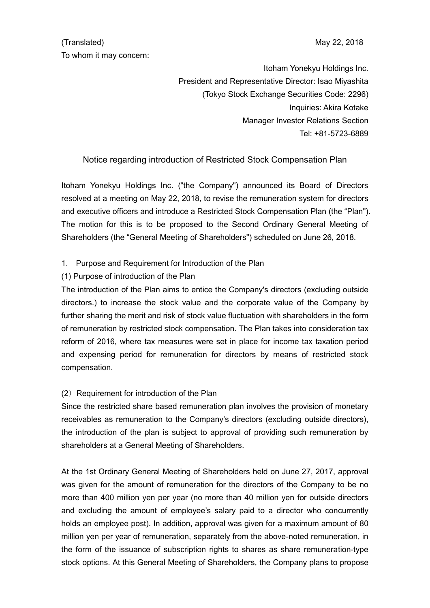# (Translated) May 22, 2018 To whom it may concern:

Itoham Yonekyu Holdings Inc. President and Representative Director: Isao Miyashita (Tokyo Stock Exchange Securities Code: 2296) Inquiries: Akira Kotake Manager Investor Relations Section Tel: +81-5723-6889

# Notice regarding introduction of Restricted Stock Compensation Plan

Itoham Yonekyu Holdings Inc. ("the Company") announced its Board of Directors resolved at a meeting on May 22, 2018, to revise the remuneration system for directors and executive officers and introduce a Restricted Stock Compensation Plan (the "Plan"). The motion for this is to be proposed to the Second Ordinary General Meeting of Shareholders (the "General Meeting of Shareholders") scheduled on June 26, 2018.

## 1. Purpose and Requirement for Introduction of the Plan

## (1) Purpose of introduction of the Plan

The introduction of the Plan aims to entice the Company's directors (excluding outside directors.) to increase the stock value and the corporate value of the Company by further sharing the merit and risk of stock value fluctuation with shareholders in the form of remuneration by restricted stock compensation. The Plan takes into consideration tax reform of 2016, where tax measures were set in place for income tax taxation period and expensing period for remuneration for directors by means of restricted stock compensation.

## (2) Requirement for introduction of the Plan

Since the restricted share based remuneration plan involves the provision of monetary receivables as remuneration to the Company's directors (excluding outside directors), the introduction of the plan is subject to approval of providing such remuneration by shareholders at a General Meeting of Shareholders.

At the 1st Ordinary General Meeting of Shareholders held on June 27, 2017, approval was given for the amount of remuneration for the directors of the Company to be no more than 400 million yen per year (no more than 40 million yen for outside directors and excluding the amount of employee's salary paid to a director who concurrently holds an employee post). In addition, approval was given for a maximum amount of 80 million yen per year of remuneration, separately from the above-noted remuneration, in the form of the issuance of subscription rights to shares as share remuneration-type stock options. At this General Meeting of Shareholders, the Company plans to propose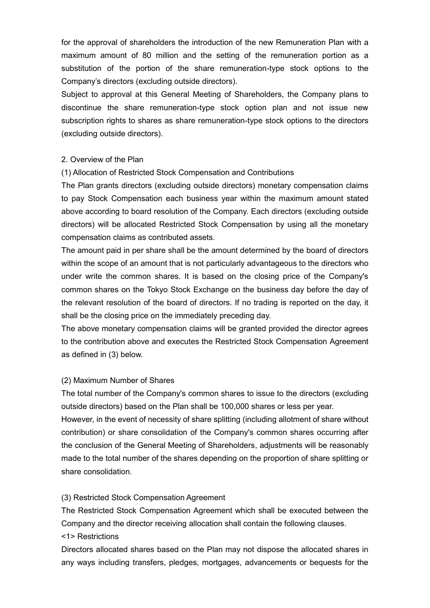for the approval of shareholders the introduction of the new Remuneration Plan with a maximum amount of 80 million and the setting of the remuneration portion as a substitution of the portion of the share remuneration-type stock options to the Company's directors (excluding outside directors).

Subject to approval at this General Meeting of Shareholders, the Company plans to discontinue the share remuneration-type stock option plan and not issue new subscription rights to shares as share remuneration-type stock options to the directors (excluding outside directors).

#### 2. Overview of the Plan

## (1) Allocation of Restricted Stock Compensation and Contributions

The Plan grants directors (excluding outside directors) monetary compensation claims to pay Stock Compensation each business year within the maximum amount stated above according to board resolution of the Company. Each directors (excluding outside directors) will be allocated Restricted Stock Compensation by using all the monetary compensation claims as contributed assets.

The amount paid in per share shall be the amount determined by the board of directors within the scope of an amount that is not particularly advantageous to the directors who under write the common shares. It is based on the closing price of the Company's common shares on the Tokyo Stock Exchange on the business day before the day of the relevant resolution of the board of directors. If no trading is reported on the day, it shall be the closing price on the immediately preceding day.

The above monetary compensation claims will be granted provided the director agrees to the contribution above and executes the Restricted Stock Compensation Agreement as defined in (3) below.

#### (2) Maximum Number of Shares

The total number of the Company's common shares to issue to the directors (excluding outside directors) based on the Plan shall be 100,000 shares or less per year.

However, in the event of necessity of share splitting (including allotment of share without contribution) or share consolidation of the Company's common shares occurring after the conclusion of the General Meeting of Shareholders, adjustments will be reasonably made to the total number of the shares depending on the proportion of share splitting or share consolidation.

## (3) Restricted Stock Compensation Agreement

The Restricted Stock Compensation Agreement which shall be executed between the Company and the director receiving allocation shall contain the following clauses. <1> Restrictions

Directors allocated shares based on the Plan may not dispose the allocated shares in any ways including transfers, pledges, mortgages, advancements or bequests for the